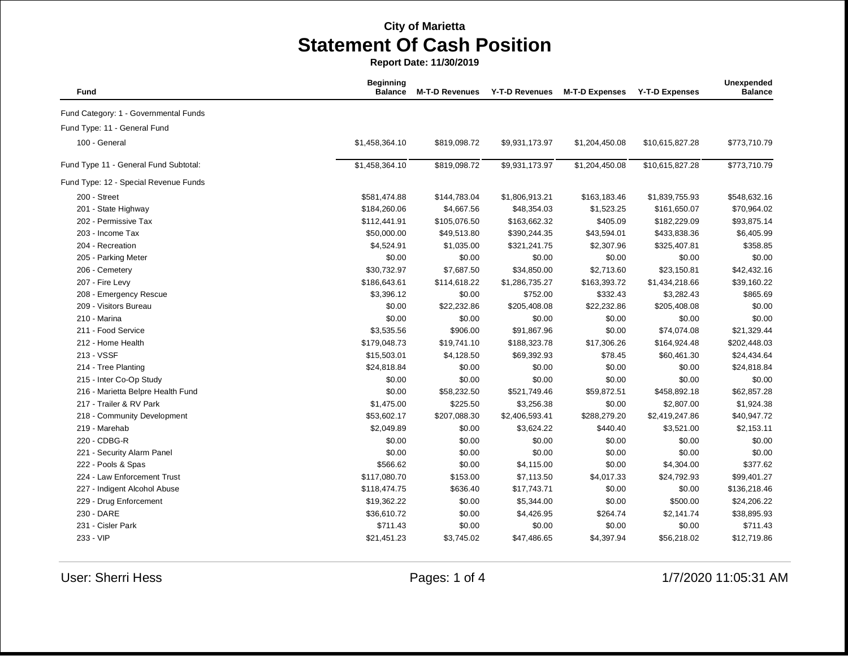| Fund                                  | <b>Beginning</b><br><b>Balance</b> | <b>M-T-D Revenues</b> | <b>Y-T-D Revenues</b> | <b>M-T-D Expenses</b> | <b>Y-T-D Expenses</b> | Unexpended<br><b>Balance</b> |
|---------------------------------------|------------------------------------|-----------------------|-----------------------|-----------------------|-----------------------|------------------------------|
| Fund Category: 1 - Governmental Funds |                                    |                       |                       |                       |                       |                              |
| Fund Type: 11 - General Fund          |                                    |                       |                       |                       |                       |                              |
| 100 - General                         | \$1,458,364.10                     | \$819,098.72          | \$9,931,173.97        | \$1,204,450.08        | \$10,615,827.28       | \$773,710.79                 |
| Fund Type 11 - General Fund Subtotal: | \$1,458,364.10                     | \$819,098.72          | \$9,931,173.97        | \$1,204,450.08        | \$10,615,827.28       | \$773,710.79                 |
| Fund Type: 12 - Special Revenue Funds |                                    |                       |                       |                       |                       |                              |
| 200 - Street                          | \$581,474.88                       | \$144,783.04          | \$1,806,913.21        | \$163,183.46          | \$1,839,755.93        | \$548,632.16                 |
| 201 - State Highway                   | \$184,260.06                       | \$4,667.56            | \$48,354.03           | \$1,523.25            | \$161,650.07          | \$70,964.02                  |
| 202 - Permissive Tax                  | \$112,441.91                       | \$105,076.50          | \$163,662.32          | \$405.09              | \$182,229.09          | \$93,875.14                  |
| 203 - Income Tax                      | \$50,000.00                        | \$49,513.80           | \$390,244.35          | \$43,594.01           | \$433,838.36          | \$6,405.99                   |
| 204 - Recreation                      | \$4,524.91                         | \$1,035.00            | \$321,241.75          | \$2,307.96            | \$325,407.81          | \$358.85                     |
| 205 - Parking Meter                   | \$0.00                             | \$0.00                | \$0.00                | \$0.00                | \$0.00                | \$0.00                       |
| 206 - Cemetery                        | \$30,732.97                        | \$7,687.50            | \$34,850.00           | \$2,713.60            | \$23,150.81           | \$42,432.16                  |
| 207 - Fire Levy                       | \$186,643.61                       | \$114,618.22          | \$1,286,735.27        | \$163,393.72          | \$1,434,218.66        | \$39,160.22                  |
| 208 - Emergency Rescue                | \$3,396.12                         | \$0.00                | \$752.00              | \$332.43              | \$3,282.43            | \$865.69                     |
| 209 - Visitors Bureau                 | \$0.00                             | \$22,232.86           | \$205,408.08          | \$22,232.86           | \$205,408.08          | \$0.00                       |
| 210 - Marina                          | \$0.00                             | \$0.00                | \$0.00                | \$0.00                | \$0.00                | \$0.00                       |
| 211 - Food Service                    | \$3,535.56                         | \$906.00              | \$91,867.96           | \$0.00                | \$74,074.08           | \$21,329.44                  |
| 212 - Home Health                     | \$179,048.73                       | \$19,741.10           | \$188,323.78          | \$17,306.26           | \$164,924.48          | \$202,448.03                 |
| 213 - VSSF                            | \$15,503.01                        | \$4,128.50            | \$69,392.93           | \$78.45               | \$60,461.30           | \$24,434.64                  |
| 214 - Tree Planting                   | \$24,818.84                        | \$0.00                | \$0.00                | \$0.00                | \$0.00                | \$24,818.84                  |
| 215 - Inter Co-Op Study               | \$0.00                             | \$0.00                | \$0.00                | \$0.00                | \$0.00                | \$0.00                       |
| 216 - Marietta Belpre Health Fund     | \$0.00                             | \$58,232.50           | \$521,749.46          | \$59,872.51           | \$458,892.18          | \$62,857.28                  |
| 217 - Trailer & RV Park               | \$1,475.00                         | \$225.50              | \$3,256.38            | \$0.00                | \$2,807.00            | \$1,924.38                   |
| 218 - Community Development           | \$53,602.17                        | \$207,088.30          | \$2,406,593.41        | \$288,279.20          | \$2,419,247.86        | \$40,947.72                  |
| 219 - Marehab                         | \$2,049.89                         | \$0.00                | \$3,624.22            | \$440.40              | \$3,521.00            | \$2,153.11                   |
| 220 - CDBG-R                          | \$0.00                             | \$0.00                | \$0.00                | \$0.00                | \$0.00                | \$0.00                       |
| 221 - Security Alarm Panel            | \$0.00                             | \$0.00                | \$0.00                | \$0.00                | \$0.00                | \$0.00                       |
| 222 - Pools & Spas                    | \$566.62                           | \$0.00                | \$4,115.00            | \$0.00                | \$4,304.00            | \$377.62                     |
| 224 - Law Enforcement Trust           | \$117,080.70                       | \$153.00              | \$7,113.50            | \$4,017.33            | \$24,792.93           | \$99,401.27                  |
| 227 - Indigent Alcohol Abuse          | \$118,474.75                       | \$636.40              | \$17,743.71           | \$0.00                | \$0.00                | \$136,218.46                 |
| 229 - Drug Enforcement                | \$19,362.22                        | \$0.00                | \$5,344.00            | \$0.00                | \$500.00              | \$24,206.22                  |
| 230 - DARE                            | \$36,610.72                        | \$0.00                | \$4,426.95            | \$264.74              | \$2,141.74            | \$38,895.93                  |
| 231 - Cisler Park                     | \$711.43                           | \$0.00                | \$0.00                | \$0.00                | \$0.00                | \$711.43                     |
| 233 - VIP                             | \$21,451.23                        | \$3,745.02            | \$47,486.65           | \$4,397.94            | \$56,218.02           | \$12,719.86                  |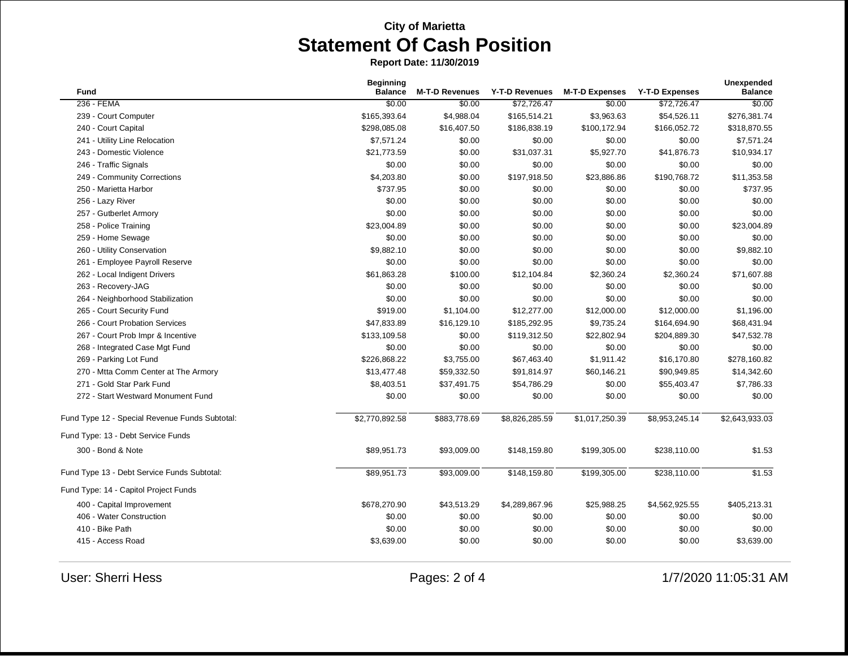| <b>Fund</b>                                    | <b>Beginning</b><br><b>Balance</b> | <b>M-T-D Revenues</b> | Y-T-D Revenues | <b>M-T-D Expenses</b> | <b>Y-T-D Expenses</b> | Unexpended<br><b>Balance</b> |
|------------------------------------------------|------------------------------------|-----------------------|----------------|-----------------------|-----------------------|------------------------------|
| 236 - FEMA                                     | \$0.00                             | \$0.00                | \$72,726.47    | \$0.00                | \$72,726.47           | \$0.00                       |
| 239 - Court Computer                           | \$165,393.64                       | \$4,988.04            | \$165,514.21   | \$3,963.63            | \$54,526.11           | \$276,381.74                 |
| 240 - Court Capital                            | \$298,085.08                       | \$16,407.50           | \$186,838.19   | \$100,172.94          | \$166,052.72          | \$318,870.55                 |
| 241 - Utility Line Relocation                  | \$7,571.24                         | \$0.00                | \$0.00         | \$0.00                | \$0.00                | \$7,571.24                   |
| 243 - Domestic Violence                        | \$21,773.59                        | \$0.00                | \$31,037.31    | \$5,927.70            | \$41,876.73           | \$10,934.17                  |
| 246 - Traffic Signals                          | \$0.00                             | \$0.00                | \$0.00         | \$0.00                | \$0.00                | \$0.00                       |
| 249 - Community Corrections                    | \$4,203.80                         | \$0.00                | \$197,918.50   | \$23,886.86           | \$190,768.72          | \$11,353.58                  |
| 250 - Marietta Harbor                          | \$737.95                           | \$0.00                | \$0.00         | \$0.00                | \$0.00                | \$737.95                     |
| 256 - Lazy River                               | \$0.00                             | \$0.00                | \$0.00         | \$0.00                | \$0.00                | \$0.00                       |
| 257 - Gutberlet Armory                         | \$0.00                             | \$0.00                | \$0.00         | \$0.00                | \$0.00                | \$0.00                       |
| 258 - Police Training                          | \$23,004.89                        | \$0.00                | \$0.00         | \$0.00                | \$0.00                | \$23,004.89                  |
| 259 - Home Sewage                              | \$0.00                             | \$0.00                | \$0.00         | \$0.00                | \$0.00                | \$0.00                       |
| 260 - Utility Conservation                     | \$9,882.10                         | \$0.00                | \$0.00         | \$0.00                | \$0.00                | \$9,882.10                   |
| 261 - Employee Payroll Reserve                 | \$0.00                             | \$0.00                | \$0.00         | \$0.00                | \$0.00                | \$0.00                       |
| 262 - Local Indigent Drivers                   | \$61,863.28                        | \$100.00              | \$12,104.84    | \$2,360.24            | \$2,360.24            | \$71,607.88                  |
| 263 - Recovery-JAG                             | \$0.00                             | \$0.00                | \$0.00         | \$0.00                | \$0.00                | \$0.00                       |
| 264 - Neighborhood Stabilization               | \$0.00                             | \$0.00                | \$0.00         | \$0.00                | \$0.00                | \$0.00                       |
| 265 - Court Security Fund                      | \$919.00                           | \$1,104.00            | \$12,277.00    | \$12,000.00           | \$12,000.00           | \$1,196.00                   |
| 266 - Court Probation Services                 | \$47,833.89                        | \$16,129.10           | \$185,292.95   | \$9,735.24            | \$164,694.90          | \$68,431.94                  |
| 267 - Court Prob Impr & Incentive              | \$133,109.58                       | \$0.00                | \$119,312.50   | \$22,802.94           | \$204,889.30          | \$47,532.78                  |
| 268 - Integrated Case Mgt Fund                 | \$0.00                             | \$0.00                | \$0.00         | \$0.00                | \$0.00                | \$0.00                       |
| 269 - Parking Lot Fund                         | \$226,868.22                       | \$3,755.00            | \$67,463.40    | \$1,911.42            | \$16,170.80           | \$278,160.82                 |
| 270 - Mtta Comm Center at The Armory           | \$13,477.48                        | \$59,332.50           | \$91,814.97    | \$60,146.21           | \$90,949.85           | \$14,342.60                  |
| 271 - Gold Star Park Fund                      | \$8,403.51                         | \$37,491.75           | \$54,786.29    | \$0.00                | \$55,403.47           | \$7,786.33                   |
| 272 - Start Westward Monument Fund             | \$0.00                             | \$0.00                | \$0.00         | \$0.00                | \$0.00                | \$0.00                       |
| Fund Type 12 - Special Revenue Funds Subtotal: | \$2,770,892.58                     | \$883,778.69          | \$8,826,285.59 | \$1,017,250.39        | \$8,953,245.14        | \$2,643,933.03               |
| Fund Type: 13 - Debt Service Funds             |                                    |                       |                |                       |                       |                              |
| 300 - Bond & Note                              | \$89,951.73                        | \$93,009.00           | \$148,159.80   | \$199,305.00          | \$238,110.00          | \$1.53                       |
| Fund Type 13 - Debt Service Funds Subtotal:    | \$89,951.73                        | \$93,009.00           | \$148,159.80   | \$199,305.00          | \$238,110.00          | \$1.53                       |
| Fund Type: 14 - Capitol Project Funds          |                                    |                       |                |                       |                       |                              |
| 400 - Capital Improvement                      | \$678,270.90                       | \$43,513.29           | \$4,289,867.96 | \$25,988.25           | \$4,562,925.55        | \$405,213.31                 |
| 406 - Water Construction                       | \$0.00                             | \$0.00                | \$0.00         | \$0.00                | \$0.00                | \$0.00                       |
| 410 - Bike Path                                | \$0.00                             | \$0.00                | \$0.00         | \$0.00                | \$0.00                | \$0.00                       |
| 415 - Access Road                              | \$3,639.00                         | \$0.00                | \$0.00         | \$0.00                | \$0.00                | \$3,639.00                   |
|                                                |                                    |                       |                |                       |                       |                              |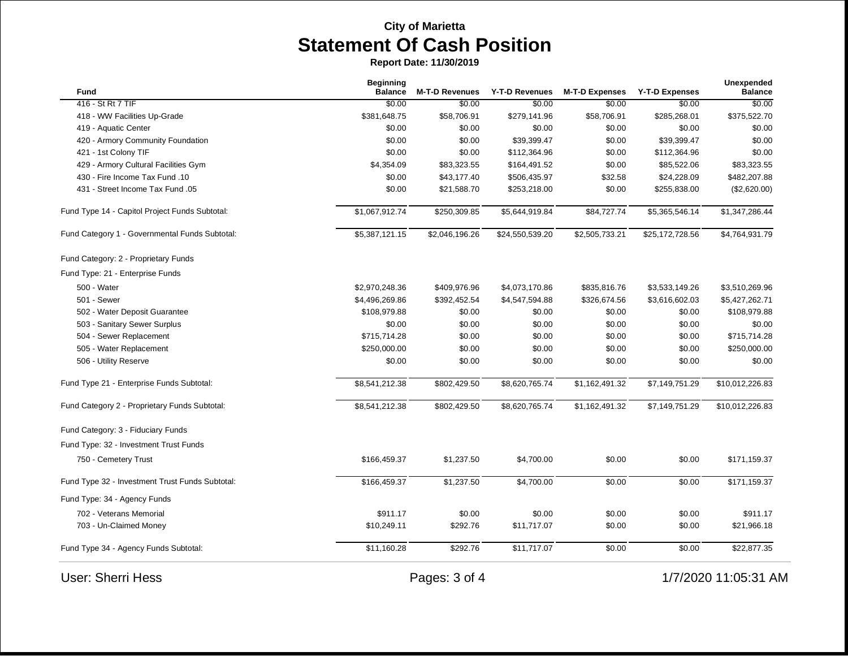| Fund                                            | <b>Beginning</b><br><b>Balance</b> | <b>M-T-D Revenues</b> | Y-T-D Revenues  | <b>M-T-D Expenses</b> | <b>Y-T-D Expenses</b> | Unexpended<br><b>Balance</b> |
|-------------------------------------------------|------------------------------------|-----------------------|-----------------|-----------------------|-----------------------|------------------------------|
| 416 - St Rt 7 TIF                               | \$0.00                             | \$0.00                | \$0.00          | \$0.00                | \$0.00                | \$0.00                       |
| 418 - WW Facilities Up-Grade                    | \$381,648.75                       | \$58,706.91           | \$279,141.96    | \$58,706.91           | \$285,268.01          | \$375,522.70                 |
| 419 - Aquatic Center                            | \$0.00                             | \$0.00                | \$0.00          | \$0.00                | \$0.00                | \$0.00                       |
| 420 - Armory Community Foundation               | \$0.00                             | \$0.00                | \$39,399.47     | \$0.00                | \$39,399.47           | \$0.00                       |
| 421 - 1st Colony TIF                            | \$0.00                             | \$0.00                | \$112,364.96    | \$0.00                | \$112,364.96          | \$0.00                       |
| 429 - Armory Cultural Facilities Gym            | \$4,354.09                         | \$83,323.55           | \$164,491.52    | \$0.00                | \$85,522.06           | \$83,323.55                  |
| 430 - Fire Income Tax Fund .10                  | \$0.00                             | \$43,177.40           | \$506,435.97    | \$32.58               | \$24,228.09           | \$482,207.88                 |
| 431 - Street Income Tax Fund .05                | \$0.00                             | \$21,588.70           | \$253,218.00    | \$0.00                | \$255,838.00          | (\$2,620.00)                 |
| Fund Type 14 - Capitol Project Funds Subtotal:  | \$1,067,912.74                     | \$250,309.85          | \$5,644,919.84  | \$84,727.74           | \$5,365,546.14        | \$1,347,286.44               |
| Fund Category 1 - Governmental Funds Subtotal:  | \$5,387,121.15                     | \$2,046,196.26        | \$24,550,539.20 | \$2,505,733.21        | \$25,172,728.56       | \$4,764,931.79               |
| Fund Category: 2 - Proprietary Funds            |                                    |                       |                 |                       |                       |                              |
| Fund Type: 21 - Enterprise Funds                |                                    |                       |                 |                       |                       |                              |
| 500 - Water                                     | \$2,970,248.36                     | \$409,976.96          | \$4,073,170.86  | \$835,816.76          | \$3,533,149.26        | \$3,510,269.96               |
| 501 - Sewer                                     | \$4,496,269.86                     | \$392,452.54          | \$4,547,594.88  | \$326,674.56          | \$3,616,602.03        | \$5,427,262.71               |
| 502 - Water Deposit Guarantee                   | \$108,979.88                       | \$0.00                | \$0.00          | \$0.00                | \$0.00                | \$108,979.88                 |
| 503 - Sanitary Sewer Surplus                    | \$0.00                             | \$0.00                | \$0.00          | \$0.00                | \$0.00                | \$0.00                       |
| 504 - Sewer Replacement                         | \$715,714.28                       | \$0.00                | \$0.00          | \$0.00                | \$0.00                | \$715,714.28                 |
| 505 - Water Replacement                         | \$250,000.00                       | \$0.00                | \$0.00          | \$0.00                | \$0.00                | \$250,000.00                 |
| 506 - Utility Reserve                           | \$0.00                             | \$0.00                | \$0.00          | \$0.00                | \$0.00                | \$0.00                       |
| Fund Type 21 - Enterprise Funds Subtotal:       | \$8,541,212.38                     | \$802,429.50          | \$8,620,765.74  | \$1,162,491.32        | \$7,149,751.29        | \$10,012,226.83              |
| Fund Category 2 - Proprietary Funds Subtotal:   | \$8,541,212.38                     | \$802,429.50          | \$8,620,765.74  | \$1,162,491.32        | \$7,149,751.29        | \$10,012,226.83              |
| Fund Category: 3 - Fiduciary Funds              |                                    |                       |                 |                       |                       |                              |
| Fund Type: 32 - Investment Trust Funds          |                                    |                       |                 |                       |                       |                              |
| 750 - Cemetery Trust                            | \$166,459.37                       | \$1,237.50            | \$4,700.00      | \$0.00                | \$0.00                | \$171,159.37                 |
| Fund Type 32 - Investment Trust Funds Subtotal: | \$166,459.37                       | \$1,237.50            | \$4,700.00      | \$0.00                | \$0.00                | \$171,159.37                 |
| Fund Type: 34 - Agency Funds                    |                                    |                       |                 |                       |                       |                              |
| 702 - Veterans Memorial                         | \$911.17                           | \$0.00                | \$0.00          | \$0.00                | \$0.00                | \$911.17                     |
| 703 - Un-Claimed Money                          | \$10,249.11                        | \$292.76              | \$11,717.07     | \$0.00                | \$0.00                | \$21,966.18                  |
| Fund Type 34 - Agency Funds Subtotal:           | \$11,160.28                        | \$292.76              | \$11,717.07     | \$0.00                | \$0.00                | \$22,877.35                  |
| <b>User: Sherri Hess</b>                        |                                    | Pages: 3 of 4         |                 |                       |                       | 1/7/2020 11:05:31 AM         |